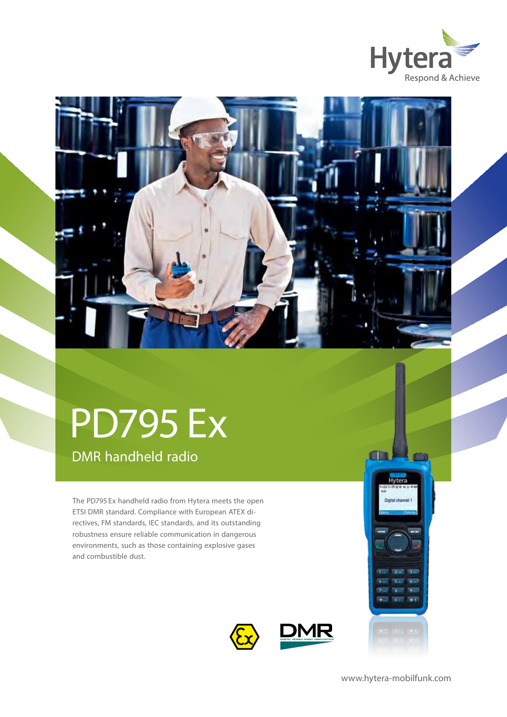



# PD795 Ex

DMR handheld radio

The PD795 Ex handheld radio from Hytera meets the open ETSI DMR standard. Compliance with European ATEX directives, FM standards, IEC standards, and its outstanding robustness ensure reliable communication in dangerous environments, such as those containing explosive gases and combustible dust.



www.hytera-mobilfunk.com

Hyter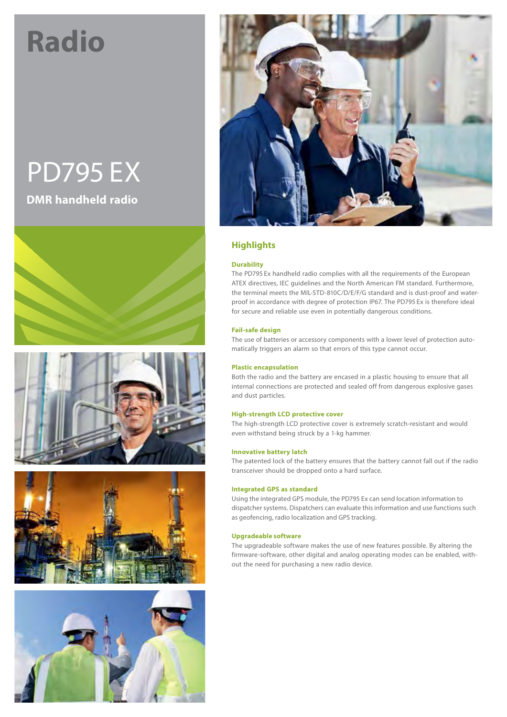## **Radio**

### PD795 Ex **DMR handheld radio**











#### **Highlights**

#### **Durability**

The PD795 Ex handheld radio complies with all the requirements of the European ATEX directives, IEC guidelines and the North American FM standard. Furthermore, the terminal meets the MIL-STD-810C/D/E/F/G standard and is dust-proof and waterproof in accordance with degree of protection IP67. The PD795 Ex is therefore ideal for secure and reliable use even in potentially dangerous conditions.

#### **Fail-safe design**

The use of batteries or accessory components with a lower level of protection automatically triggers an alarm so that errors of this type cannot occur.

#### **Plastic encapsulation**

Both the radio and the battery are encased in a plastic housing to ensure that all internal connections are protected and sealed off from dangerous explosive gases and dust particles.

#### **High-strength LCD protective cover**

The high-strength LCD protective cover is extremely scratch-resistant and would even withstand being struck by a 1-kg hammer.

#### **Innovative battery latch**

The patented lock of the battery ensures that the battery cannot fall out if the radio transceiver should be dropped onto a hard surface.

#### **Integrated GPS as standard**

Using the integrated GPS module, the PD795 Ex can send location information to dispatcher systems. Dispatchers can evaluate this information and use functions such as geofencing, radio localization and GPS tracking.

#### **Upgradeable software**

The upgradeable software makes the use of new features possible. By altering the firmware-software, other digital and analog operating modes can be enabled, without the need for purchasing a new radio device.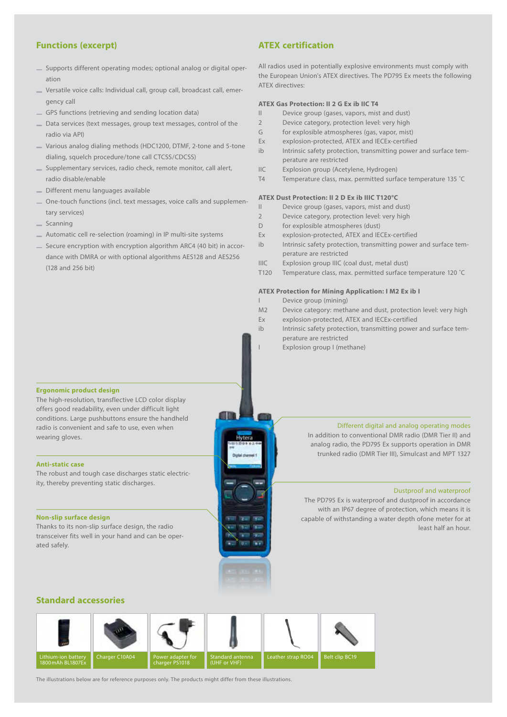#### **Functions (excerpt)**

- Supports different operating modes; optional analog or digital operation
- Versatile voice calls: Individual call, group call, broadcast call, emergency call
- GPS functions (retrieving and sending location data)
- Data services (text messages, group text messages, control of the radio via API)
- Various analog dialing methods (HDC1200, DTMF, 2-tone and 5-tone dialing, squelch procedure/tone call CTCSS/CDCSS)
- Supplementary services, radio check, remote monitor, call alert, radio disable/enable
- Different menu languages available
- One-touch functions (incl. text messages, voice calls and supplementary services)
- Scanning
- Automatic cell re-selection (roaming) in IP multi-site systems
- Secure encryption with encryption algorithm ARC4 (40 bit) in accordance with DMRA or with optional algorithms AES128 and AES256 (128 and 256 bit)

#### **ATEX certification**

All radios used in potentially explosive environments must comply with the European Union's ATEX directives. The PD795 Ex meets the following ATEX directives:

#### **ATEX Gas Protection: II 2 G Ex ib IIC T4**

- II Device group (gases, vapors, mist and dust)
- 2 Device category, protection level: very high
- G for explosible atmospheres (gas, vapor, mist)
- Ex explosion-protected, ATEX and IECEx-certified
- ib Intrinsic safety protection, transmitting power and surface temperature are restricted
- IIC Explosion group (Acetylene, Hydrogen)
- T4 Temperature class, max. permitted surface temperature 135 ˚C

#### **ATEX Dust Protection: II 2 D Ex ib IIIC T120°C**

- II Device group (gases, vapors, mist and dust)
- 2 Device category, protection level: very high
- D for explosible atmospheres (dust)
- Ex explosion-protected, ATEX and IECEx-certified
- ib Intrinsic safety protection, transmitting power and surface temperature are restricted
- IIIC Explosion group IIIC (coal dust, metal dust)
- T120 Temperature class, max. permitted surface temperature 120 ˚C

#### **ATEX Protection for Mining Application: I M2 Ex ib I**

- Device group (mining)
- M2 Device category: methane and dust, protection level: very high
- Ex explosion-protected, ATEX and IECEx-certified
- ib Intrinsic safety protection, transmitting power and surface temperature are restricted
- Explosion group I (methane)

#### **Ergonomic product design**

The high-resolution, transflective LCD color display offers good readability, even under difficult light conditions. Large pushbuttons ensure the handheld radio is convenient and safe to use, even when wearing gloves.

#### **Anti-static case**

The robust and tough case discharges static electricity, thereby preventing static discharges.

#### **Non-slip surface design**

Thanks to its non-slip surface design, the radio transceiver fits well in your hand and can be operated safely.

#### Different digital and analog operating modes

In addition to conventional DMR radio (DMR Tier II) and analog radio, the PD795 Ex supports operation in DMR trunked radio (DMR Tier III), Simulcast and MPT 1327

#### Dustproof and waterproof

The PD795 Ex is waterproof and dustproof in accordance with an IP67 degree of protection, which means it is capable of withstanding a water depth ofone meter for at least half an hour.

#### **Standard accessories**



Hytera

The illustrations below are for reference purposes only. The products might differ from these illustrations.